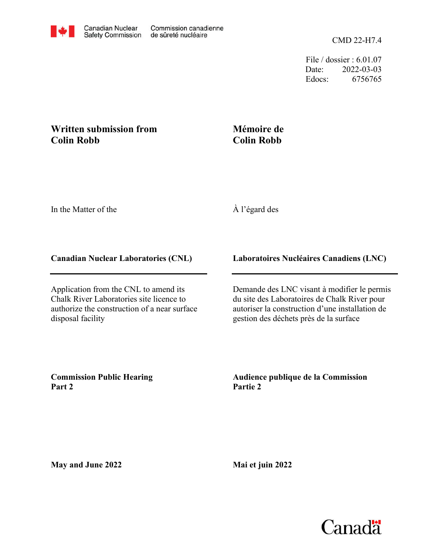File / dossier : 6.01.07 Date: 2022-03-03 Edocs: 6756765

# **Written submission from Colin Robb**

## **Mémoire de Colin Robb**

In the Matter of the

## À l'égard des

#### **Canadian Nuclear Laboratories (CNL)**

Application from the CNL to amend its Chalk River Laboratories site licence to authorize the construction of a near surface disposal facility

**Laboratoires Nucléaires Canadiens (LNC)**

Demande des LNC visant à modifier le permis du site des Laboratoires de Chalk River pour autoriser la construction d'une installation de gestion des déchets près de la surface

**Commission Public Hearing Part 2**

**Audience publique de la Commission Partie 2**

**May and June 2022**

**Mai et juin 2022**